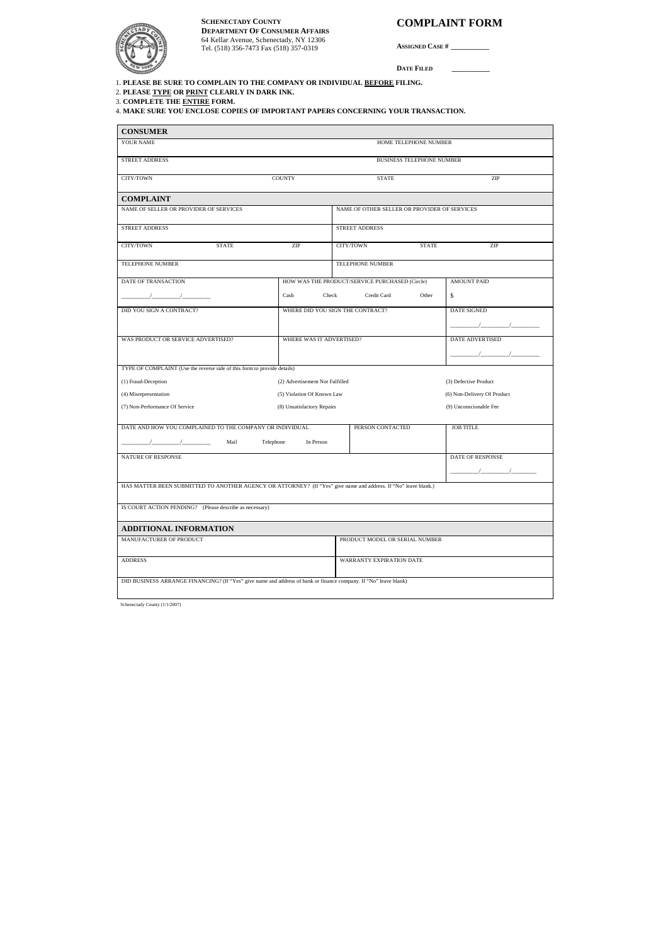## **COMPLAINT FORM**

**ASSIGNED CASE #** \_\_\_\_\_\_\_\_

**DATE FILED** \_\_\_\_\_\_\_\_

## **DEPARTMENT OF CONSUMER AFFAIRS** 64 Kellar Avenue, Schenectady, NY 12306 Tel. (518) 356-7473 Fax (518) 357-0319 **SCHENECTADY COUNTY**

Schenectady County (1/1/2007)

1. **PLEASE BE SURE TO COMPLAIN TO THE COMPANY OR INDIVIDUAL BEFORE FILING.** 

2. **PLEASE TYPE OR PRINT CLEARLY IN DARK INK.** 

3. **COMPLETE THE ENTIRE FORM.** 

4. **MAKE SURE YOU ENCLOSE COPIES OF IMPORTANT PAPERS CONCERNING YOUR TRANSACTION.** 

| <b>CONSUMER</b>                                                                                                                                                                                                                                                                                                                                       |                                  |                                |                                                |                         |                                                                                                                                                                                                                                                                                               |
|-------------------------------------------------------------------------------------------------------------------------------------------------------------------------------------------------------------------------------------------------------------------------------------------------------------------------------------------------------|----------------------------------|--------------------------------|------------------------------------------------|-------------------------|-----------------------------------------------------------------------------------------------------------------------------------------------------------------------------------------------------------------------------------------------------------------------------------------------|
| YOUR NAME                                                                                                                                                                                                                                                                                                                                             | HOME TELEPHONE NUMBER            |                                |                                                |                         |                                                                                                                                                                                                                                                                                               |
| STREET ADDRESS                                                                                                                                                                                                                                                                                                                                        | <b>BUSINESS TELEPHONE NUMBER</b> |                                |                                                |                         |                                                                                                                                                                                                                                                                                               |
| CITY/TOWN                                                                                                                                                                                                                                                                                                                                             | <b>COUNTY</b>                    |                                | <b>STATE</b>                                   |                         | ZIP                                                                                                                                                                                                                                                                                           |
| <b>COMPLAINT</b>                                                                                                                                                                                                                                                                                                                                      |                                  |                                |                                                |                         |                                                                                                                                                                                                                                                                                               |
| NAME OF SELLER OR PROVIDER OF SERVICES                                                                                                                                                                                                                                                                                                                |                                  |                                | NAME OF OTHER SELLER OR PROVIDER OF SERVICES   |                         |                                                                                                                                                                                                                                                                                               |
| STREET ADDRESS                                                                                                                                                                                                                                                                                                                                        |                                  |                                | <b>STREET ADDRESS</b>                          |                         |                                                                                                                                                                                                                                                                                               |
| CITY/TOWN<br><b>STATE</b>                                                                                                                                                                                                                                                                                                                             | ZIP                              |                                | CITY/TOWN                                      | <b>STATE</b>            | ZIP                                                                                                                                                                                                                                                                                           |
| TELEPHONE NUMBER                                                                                                                                                                                                                                                                                                                                      |                                  |                                | TELEPHONE NUMBER                               |                         |                                                                                                                                                                                                                                                                                               |
| DATE OF TRANSACTION                                                                                                                                                                                                                                                                                                                                   |                                  |                                | HOW WAS THE PRODUCT/SERVICE PURCHASED (Circle) |                         | <b>AMOUNT PAID</b>                                                                                                                                                                                                                                                                            |
|                                                                                                                                                                                                                                                                                                                                                       | Cash                             | Check                          | Credit Card                                    | Other                   | \$                                                                                                                                                                                                                                                                                            |
| DID YOU SIGN A CONTRACT?<br>WHERE DID YOU SIGN THE CONTRACT?                                                                                                                                                                                                                                                                                          |                                  |                                |                                                |                         | <b>DATE SIGNED</b>                                                                                                                                                                                                                                                                            |
|                                                                                                                                                                                                                                                                                                                                                       |                                  |                                |                                                |                         | $\sqrt{2}$                                                                                                                                                                                                                                                                                    |
| WAS PRODUCT OR SERVICE ADVERTISED?<br>WHERE WAS IT ADVERTISED?                                                                                                                                                                                                                                                                                        |                                  |                                |                                                |                         | <b>DATE ADVERTISED</b>                                                                                                                                                                                                                                                                        |
|                                                                                                                                                                                                                                                                                                                                                       |                                  |                                |                                                |                         | $\frac{1}{2}$ and $\frac{1}{2}$ and $\frac{1}{2}$ and $\frac{1}{2}$ and $\frac{1}{2}$ and $\frac{1}{2}$ and $\frac{1}{2}$ and $\frac{1}{2}$ and $\frac{1}{2}$ and $\frac{1}{2}$ and $\frac{1}{2}$ and $\frac{1}{2}$ and $\frac{1}{2}$ and $\frac{1}{2}$ and $\frac{1}{2}$ and $\frac{1}{2}$ a |
| TYPE OF COMPLAINT (Use the reverse side of this form to provide details)                                                                                                                                                                                                                                                                              |                                  |                                |                                                |                         |                                                                                                                                                                                                                                                                                               |
| (1) Fraud-Deception                                                                                                                                                                                                                                                                                                                                   | (2) Advertisement Not Fulfilled  |                                |                                                |                         | (3) Defective Product                                                                                                                                                                                                                                                                         |
| (4) Misrepresentation                                                                                                                                                                                                                                                                                                                                 | (5) Violation Of Known Law       |                                |                                                |                         | (6) Non-Delivery Of Product                                                                                                                                                                                                                                                                   |
| (7) Non-Performance Of Service                                                                                                                                                                                                                                                                                                                        | (8) Unsatisfactory Repairs       |                                |                                                |                         | (9) Unconscionable Fee                                                                                                                                                                                                                                                                        |
| DATE AND HOW YOU COMPLAINED TO THE COMPANY OR INDIVIDUAL                                                                                                                                                                                                                                                                                              |                                  |                                | PERSON CONTACTED                               |                         | <b>JOB TITLE</b>                                                                                                                                                                                                                                                                              |
| $\frac{1}{2}$ $\frac{1}{2}$ $\frac{1}{2}$ $\frac{1}{2}$ $\frac{1}{2}$ $\frac{1}{2}$ $\frac{1}{2}$ $\frac{1}{2}$ $\frac{1}{2}$ $\frac{1}{2}$ $\frac{1}{2}$ $\frac{1}{2}$ $\frac{1}{2}$ $\frac{1}{2}$ $\frac{1}{2}$ $\frac{1}{2}$ $\frac{1}{2}$ $\frac{1}{2}$ $\frac{1}{2}$ $\frac{1}{2}$ $\frac{1}{2}$ $\frac{1}{2}$<br>Mail<br>Telephone<br>In Person |                                  |                                |                                                |                         |                                                                                                                                                                                                                                                                                               |
| <b>NATURE OF RESPONSE</b>                                                                                                                                                                                                                                                                                                                             |                                  |                                |                                                | <b>DATE OF RESPONSE</b> |                                                                                                                                                                                                                                                                                               |
|                                                                                                                                                                                                                                                                                                                                                       |                                  |                                |                                                |                         |                                                                                                                                                                                                                                                                                               |
| HAS MATTER BEEN SUBMITTED TO ANOTHER AGENCY OR ATTORNEY? (If "Yes" give name and address. If "No" leave blank.)                                                                                                                                                                                                                                       |                                  |                                |                                                |                         |                                                                                                                                                                                                                                                                                               |
| IS COURT ACTION PENDING? (Please describe as necessary)                                                                                                                                                                                                                                                                                               |                                  |                                |                                                |                         |                                                                                                                                                                                                                                                                                               |
|                                                                                                                                                                                                                                                                                                                                                       |                                  |                                |                                                |                         |                                                                                                                                                                                                                                                                                               |
| ADDITIONAL INFORMATION                                                                                                                                                                                                                                                                                                                                |                                  |                                |                                                |                         |                                                                                                                                                                                                                                                                                               |
| MANUFACTURER OF PRODUCT                                                                                                                                                                                                                                                                                                                               |                                  | PRODUCT MODEL OR SERIAL NUMBER |                                                |                         |                                                                                                                                                                                                                                                                                               |
| <b>ADDRESS</b>                                                                                                                                                                                                                                                                                                                                        |                                  |                                | WARRANTY EXPIRATION DATE                       |                         |                                                                                                                                                                                                                                                                                               |
|                                                                                                                                                                                                                                                                                                                                                       |                                  |                                |                                                |                         |                                                                                                                                                                                                                                                                                               |
| DID BUSINESS ARRANGE FINANCING? (If "Yes" give name and address of bank or finance company. If "No" leave blank)                                                                                                                                                                                                                                      |                                  |                                |                                                |                         |                                                                                                                                                                                                                                                                                               |